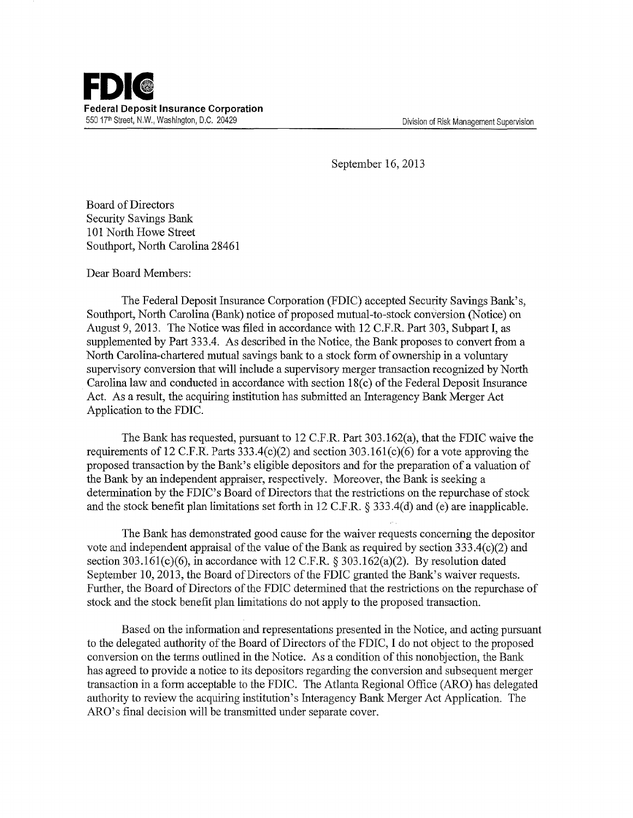

September 16,2013

Board of Directors Security Savings Bank 101 North Howe Street Southport, North Carolina 28461

Dear Board Members:

The Federal Deposit Insurance Corporation (FDIC) accepted Security Savings Bank's, Southport, North Carolina (Bank) notice of proposed mutual-to-stock conversion (Notice) on August 9, 2013. The Notice was filed in accordance with 12 C.F.R. Part 303, Subpart I, as supplemented by Part 333.4. As described in the Notice, the Bank proposes to convert from a North Carolina-chartered mutual savings bank to a stock form of ownership in a voluntary supervisory conversion that will include a supervisory merger transaction recognized by North Carolina law and conducted in accordance with section 18(c) of the Federal Deposit Insurance Act. As a result, the acquiring institution has submitted an Interagency Bank Merger Act Application to the FDIC.

The Bank has requested, pursuant to 12 C.F.R. Part 303.162(a), that the FDIC waive the requirements of 12 C.F.R. Parts  $333.4(c)(2)$  and section  $303.161(c)(6)$  for a vote approving the proposed transaction by the Bank's eligible depositors and for the preparation of a valuation of the Bank by an independent appraiser, respectively. Moreover, the Bank is seeking a determination by the FDIC's Board of Directors that the restrictions on the repurchase of stock and the stock benefit plan limitations set forth in 12 C.F.R. § 333.4(d) and (e) are inapplicable.

The Bank has demonstrated good cause for the waiver requests concerning the depositor vote and independent appraisal of the value of the Bank as required by section  $333.4(c)(2)$  and section 303.161(c)(6), in accordance with 12 C.F.R.  $\S$  303.162(a)(2). By resolution dated September 10, 2013, the Board of Directors of the FDIC granted the Bank's waiver requests. Further, the Board of Directors of the FDIC determined that the restrictions on the repurchase of stock and the stock benefit plan limitations do not apply to the proposed transaction.

Based on the information and representations presented in the Notice, and acting pursuant to the delegated authority of the Board of Directors of the FDIC, I do not object to the proposed conversion on the terms outlined in the Notice. As a condition of this nonobjection, the Bank has agreed to provide a notice to its depositors regarding the conversion and subsequent merger transaction in a form acceptable to the FDIC. The Atlanta Regional Office (ARO) has delegated authority to review the acquiring institution's Interagency Bank Merger Act Application. The ARO's final decision will be transmitted under separate cover.